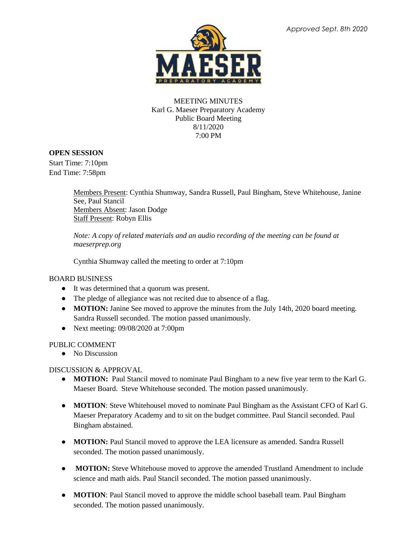

## MEETING MINUTES Karl G. Maeser Preparatory Academy Public Board Meeting 8/11/2020 7:00 PM

# **OPEN SESSION**

Start Time: 7:10pm End Time: 7:58pm

> Members Present: Cynthia Shumway, Sandra Russell, Paul Bingham, Steve Whitehouse, Janine See, Paul Stancil Members Absent: Jason Dodge Staff Present: Robyn Ellis

*Note: A copy of related materials and an audio recording of the meeting can be found at maeserprep.org*

Cynthia Shumway called the meeting to order at 7:10pm

#### BOARD BUSINESS

- It was determined that a quorum was present.
- The pledge of allegiance was not recited due to absence of a flag.
- **MOTION:** Janine See moved to approve the minutes from the July 14th, 2020 board meeting. Sandra Russell seconded. The motion passed unanimously.
- Next meeting: 09/08/2020 at 7:00pm

## PUBLIC COMMENT

● No Discussion

# DISCUSSION & APPROVAL

- **MOTION:** Paul Stancil moved to nominate Paul Bingham to a new five year term to the Karl G. Maeser Board. Steve Whitehouse seconded. The motion passed unanimously.
- **MOTION**: Steve Whitehousel moved to nominate Paul Bingham as the Assistant CFO of Karl G. Maeser Preparatory Academy and to sit on the budget committee. Paul Stancil seconded. Paul Bingham abstained.
- **MOTION:** Paul Stancil moved to approve the LEA licensure as amended. Sandra Russell seconded. The motion passed unanimously.
- **MOTION:** Steve Whitehouse moved to approve the amended Trustland Amendment to include science and math aids. Paul Stancil seconded. The motion passed unanimously.
- **MOTION**: Paul Stancil moved to approve the middle school baseball team. Paul Bingham seconded. The motion passed unanimously.